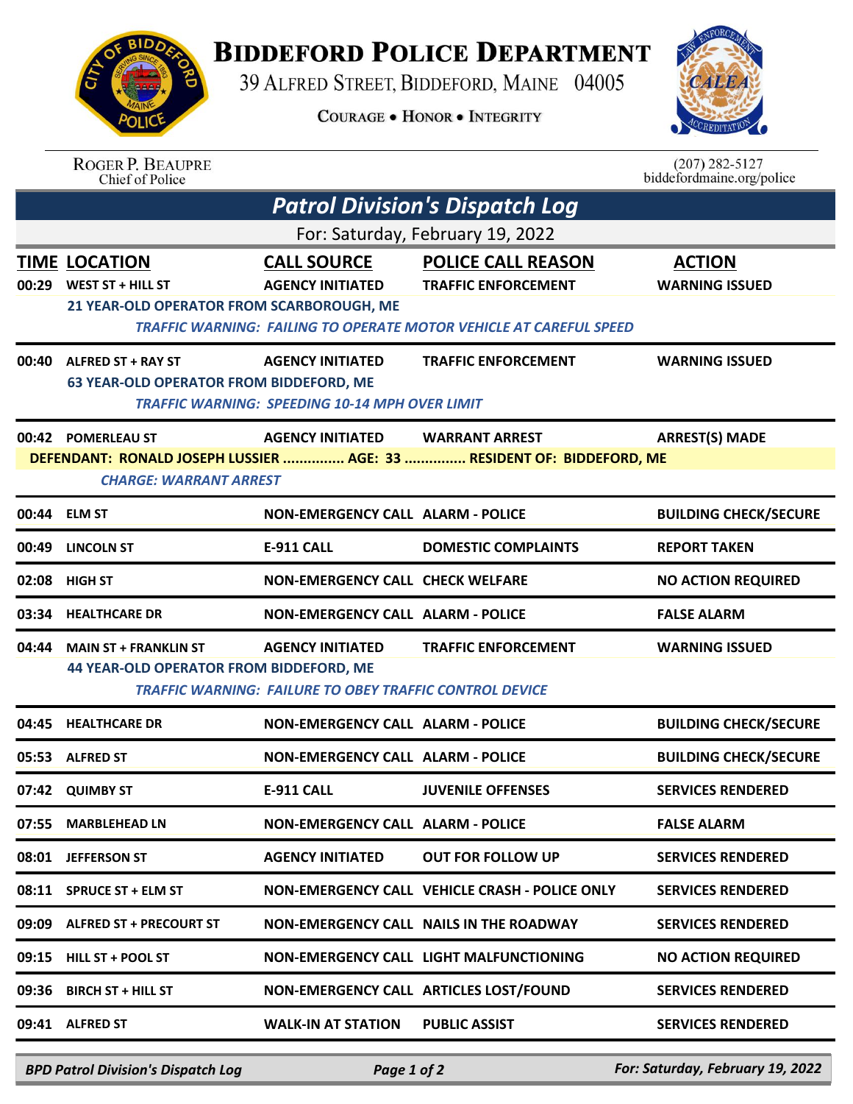## **BIDDEFORD POLICE DEPARTMENT**

39 ALFRED STREET, BIDDEFORD, MAINE 04005

**COURAGE . HONOR . INTEGRITY** 



| <b>SIDDA</b><br>ING SING |  |
|--------------------------|--|
|                          |  |
| <b>A</b> e               |  |
|                          |  |
| POLI <sub>I</sub><br>ع   |  |
|                          |  |

an an

| $(207)$ 282-5127          |
|---------------------------|
| biddefordmaine.org/police |

|                                       | <b>ROGER P. BEAUPRE</b><br><b>Chief of Police</b>                                            |                                                                                  |                                                                                                                                      | $(207)$ 282-5127<br>biddefordmaine.org/police |  |  |  |  |
|---------------------------------------|----------------------------------------------------------------------------------------------|----------------------------------------------------------------------------------|--------------------------------------------------------------------------------------------------------------------------------------|-----------------------------------------------|--|--|--|--|
| <b>Patrol Division's Dispatch Log</b> |                                                                                              |                                                                                  |                                                                                                                                      |                                               |  |  |  |  |
| For: Saturday, February 19, 2022      |                                                                                              |                                                                                  |                                                                                                                                      |                                               |  |  |  |  |
|                                       | <b>TIME LOCATION</b><br>00:29 WEST ST + HILL ST<br>21 YEAR-OLD OPERATOR FROM SCARBOROUGH, ME | <b>CALL SOURCE</b><br><b>AGENCY INITIATED</b>                                    | <b>POLICE CALL REASON</b><br><b>TRAFFIC ENFORCEMENT</b><br><b>TRAFFIC WARNING: FAILING TO OPERATE MOTOR VEHICLE AT CAREFUL SPEED</b> | <b>ACTION</b><br><b>WARNING ISSUED</b>        |  |  |  |  |
|                                       | $00:40$ ALFRED ST + RAY ST<br><b>63 YEAR-OLD OPERATOR FROM BIDDEFORD, ME</b>                 | <b>AGENCY INITIATED</b><br><b>TRAFFIC WARNING: SPEEDING 10-14 MPH OVER LIMIT</b> | <b>TRAFFIC ENFORCEMENT</b>                                                                                                           | <b>WARNING ISSUED</b>                         |  |  |  |  |
|                                       | 00:42 POMERLEAU ST                                                                           | <b>AGENCY INITIATED</b>                                                          | <b>WARRANT ARREST</b>                                                                                                                | <b>ARREST(S) MADE</b>                         |  |  |  |  |
|                                       | <b>CHARGE: WARRANT ARREST</b>                                                                |                                                                                  | DEFENDANT: RONALD JOSEPH LUSSIER  AGE: 33  RESIDENT OF: BIDDEFORD, ME                                                                |                                               |  |  |  |  |
|                                       | 00:44 ELM ST                                                                                 | <b>NON-EMERGENCY CALL ALARM - POLICE</b>                                         |                                                                                                                                      | <b>BUILDING CHECK/SECURE</b>                  |  |  |  |  |
| 00:49                                 | <b>LINCOLN ST</b>                                                                            | <b>E-911 CALL</b>                                                                | <b>DOMESTIC COMPLAINTS</b>                                                                                                           | <b>REPORT TAKEN</b>                           |  |  |  |  |
|                                       | 02:08 HIGH ST                                                                                | <b>NON-EMERGENCY CALL CHECK WELFARE</b>                                          |                                                                                                                                      | <b>NO ACTION REQUIRED</b>                     |  |  |  |  |
|                                       | 03:34 HEALTHCARE DR                                                                          | <b>NON-EMERGENCY CALL ALARM - POLICE</b>                                         |                                                                                                                                      | <b>FALSE ALARM</b>                            |  |  |  |  |
| 04:44                                 | <b>MAIN ST + FRANKLIN ST</b>                                                                 | <b>AGENCY INITIATED</b>                                                          | <b>TRAFFIC ENFORCEMENT</b>                                                                                                           | <b>WARNING ISSUED</b>                         |  |  |  |  |
|                                       | <b>44 YEAR-OLD OPERATOR FROM BIDDEFORD, ME</b>                                               | <b>TRAFFIC WARNING: FAILURE TO OBEY TRAFFIC CONTROL DEVICE</b>                   |                                                                                                                                      |                                               |  |  |  |  |
| 04:45                                 | <b>HEALTHCARE DR</b>                                                                         | <b>NON-EMERGENCY CALL ALARM - POLICE</b>                                         |                                                                                                                                      | <b>BUILDING CHECK/SECURE</b>                  |  |  |  |  |
|                                       | 05:53 ALFRED ST                                                                              | <b>NON-EMERGENCY CALL ALARM - POLICE</b>                                         |                                                                                                                                      | <b>BUILDING CHECK/SECURE</b>                  |  |  |  |  |
|                                       | 07:42 QUIMBY ST                                                                              | <b>E-911 CALL</b>                                                                | <b>JUVENILE OFFENSES</b>                                                                                                             | <b>SERVICES RENDERED</b>                      |  |  |  |  |
|                                       | 07:55 MARBLEHEAD LN                                                                          | <b>NON-EMERGENCY CALL ALARM - POLICE</b>                                         |                                                                                                                                      | <b>FALSE ALARM</b>                            |  |  |  |  |
|                                       | 08:01 JEFFERSON ST                                                                           | <b>AGENCY INITIATED</b>                                                          | <b>OUT FOR FOLLOW UP</b>                                                                                                             | <b>SERVICES RENDERED</b>                      |  |  |  |  |
|                                       | 08:11 SPRUCE ST + ELM ST                                                                     |                                                                                  | NON-EMERGENCY CALL VEHICLE CRASH - POLICE ONLY                                                                                       | <b>SERVICES RENDERED</b>                      |  |  |  |  |
|                                       | 09:09 ALFRED ST + PRECOURT ST                                                                |                                                                                  | NON-EMERGENCY CALL NAILS IN THE ROADWAY                                                                                              | <b>SERVICES RENDERED</b>                      |  |  |  |  |
|                                       | 09:15 HILL ST + POOL ST                                                                      |                                                                                  | NON-EMERGENCY CALL LIGHT MALFUNCTIONING                                                                                              | <b>NO ACTION REQUIRED</b>                     |  |  |  |  |
| 09:36                                 | <b>BIRCH ST + HILL ST</b>                                                                    |                                                                                  | NON-EMERGENCY CALL ARTICLES LOST/FOUND                                                                                               | <b>SERVICES RENDERED</b>                      |  |  |  |  |
|                                       | 09:41 ALFRED ST                                                                              | <b>WALK-IN AT STATION</b>                                                        | <b>PUBLIC ASSIST</b>                                                                                                                 | <b>SERVICES RENDERED</b>                      |  |  |  |  |

*BPD Patrol Division's Dispatch Log Page 1 of 2 For: Saturday, February 19, 2022*